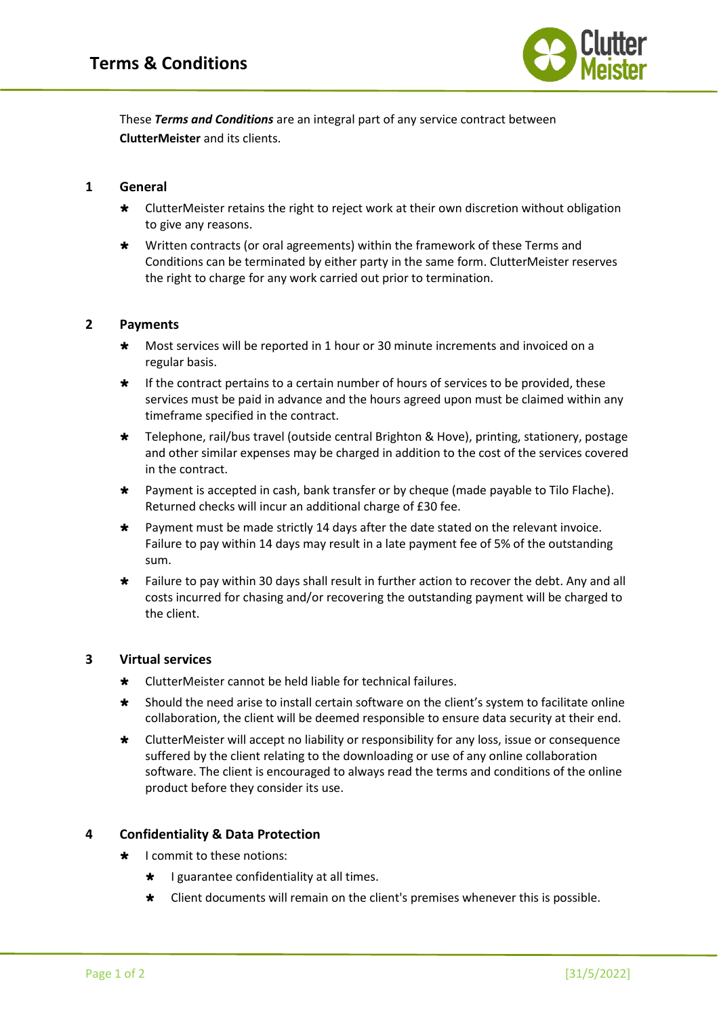

These *Terms and Conditions* are an integral part of any service contract between **ClutterMeister** and its clients.

## **1 General**

- \* ClutterMeister retains the right to reject work at their own discretion without obligation to give any reasons.
- \* Written contracts (or oral agreements) within the framework of these Terms and Conditions can be terminated by either party in the same form. ClutterMeister reserves the right to charge for any work carried out prior to termination.

### **2 Payments**

- \* Most services will be reported in 1 hour or 30 minute increments and invoiced on a regular basis.
- $\star$  If the contract pertains to a certain number of hours of services to be provided, these services must be paid in advance and the hours agreed upon must be claimed within any timeframe specified in the contract.
- Telephone, rail/bus travel (outside central Brighton & Hove), printing, stationery, postage and other similar expenses may be charged in addition to the cost of the services covered in the contract.
- Payment is accepted in cash, bank transfer or by cheque (made payable to Tilo Flache). Returned checks will incur an additional charge of £30 fee.
- \* Payment must be made strictly 14 days after the date stated on the relevant invoice. Failure to pay within 14 days may result in a late payment fee of 5% of the outstanding sum.
- \* Failure to pay within 30 days shall result in further action to recover the debt. Any and all costs incurred for chasing and/or recovering the outstanding payment will be charged to the client.

## **3 Virtual services**

- \* ClutterMeister cannot be held liable for technical failures.
- \* Should the need arise to install certain software on the client's system to facilitate online collaboration, the client will be deemed responsible to ensure data security at their end.
- \* ClutterMeister will accept no liability or responsibility for any loss, issue or consequence suffered by the client relating to the downloading or use of any online collaboration software. The client is encouraged to always read the terms and conditions of the online product before they consider its use.

## **4 Confidentiality & Data Protection**

- I commit to these notions:
	- $\star$  I guarantee confidentiality at all times.
	- Client documents will remain on the client's premises whenever this is possible.